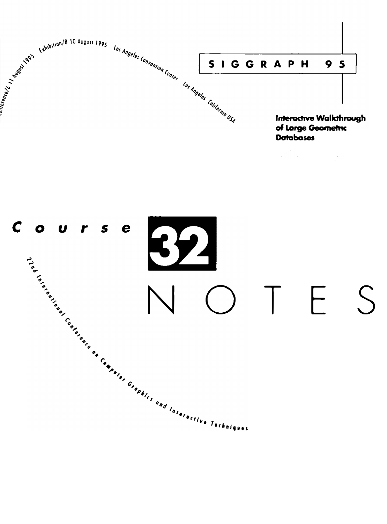

 $\frac{1}{2} \frac{1}{2} \frac{1}{2} \frac{1}{2}$ 

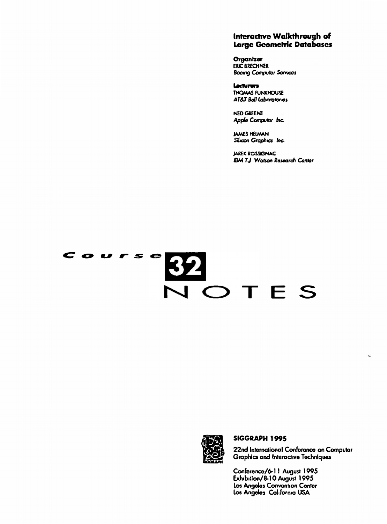#### Interactive Walkthrough of Large Geometric Databases

Organizer ERIC BRECHNER **Booing Computer Sarvices** 

Lecturers THOMAS FUNXHOUSE AT&T Ball Laboratories

**NED GREENE** Apple Computer Inc.

**JAMES HELMAN** Silicon Graphics Inc.

**JAREK ROSSIGNAC IBM TJ Watson Rasoarch Contar** 

# Course SZZ<br>VOTES



#### SIGGRAPH 1995

22nd International Conference on Computer Graphics and Interactive Techniques

ł.

Conference/6-11 August 1995 Exhibition/8-10 August 1995 Los Angeles Convention Center Los Angeles California USA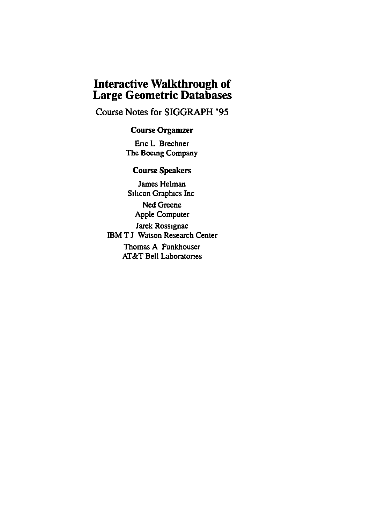### **Interactive Walkthrough of Large Geometric Databases**

Course Notes for SIGGRAPH '95

#### Course Organizer

Enc L Brechner The Boemg Company

#### Course Speakers

James Helman Silicon Graphics Inc Ned Greene Apple Computer Jarek Rossignac IBM T J Watson Research Center Thomas A Funkhouser AT&T Bell Laboratones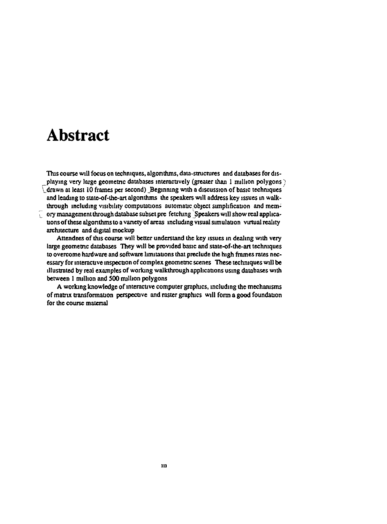### **Abstract**

This course will focus on techniques, algorithms, data-structures and databases for displaying very large geometric databases interactively (greater than 1 million polygons) drawn at least 10 frames per second) Beginning with a discussion of basic techniques and leading to state-of-the-art algorithms the speakers will address key issues in walkthrough including visibility computations automatic object simplification and memory management through database subset pre fetching Speakers will show real applications of these algorithms to a variety of areas including visual simulation virtual reality architecture and digital mockup

Attendees of this course will better understand the key issues in dealing with very large geometric databases. They will be provided basic and state-of-the-art techniques to overcome hardware and software limitations that preclude the high frames rates necessary for interactive inspection of complex geometric scenes. These techniques will be illustrated by real examples of working walkthrough applications using databases with between 1 million and 500 million polygons

A working knowledge of interactive computer graphics, including the mechanisms of matrix transformation perspective and raster graphics will form a good foundation for the course material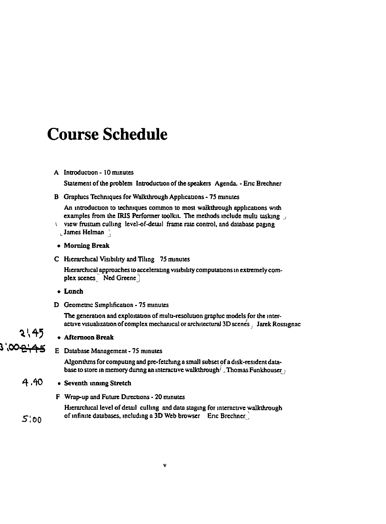### **Course Schedule**

#### A Introduction - 10 minutes

Statement of the problem Introduction of the speakers Agenda. - Enc Brechner

B Graphics Techniques for Walkthrough Applications - 75 minutes

An introduction to techniques common to most walkthrough applications with examples from the IRIS Performer toolkit. The methods include multi tasking

view frustum culling level-of-detail frame rate control, and database paging  $\perp$  James Helman

#### • Morning Break

C Hierarchical Visibility and Tiling 75 minutes

Hierarchical approaches to accelerating visibility computations in extremely complex scenes Ned Greene)

- Lunch
- D Geometric Simplification 75 minutes

The generation and exploitation of multi-resolution graphic models for the interactive visualization of complex mechanical or architectural 3D scenes / Jarek Rossignac

#### **• Afternoon Break**

3',00<del>2',45</del> E Database Management - 75 minutes

> Algonthms for computing and pre-fetching a small subset of a disk-resident database to store in memory during an interactive walkthrough<sup>1</sup>. Thomas Funkhouser 1

- 4.40 • Seventh inning Stretch
	- F Wrap-up and Future Directions 20 minutes

Hierarchical level of detail culling and data staging for interactive walkthrough of infinite databases, including a 3D Web browser Enc Brechner

v

 $5:00$ 

**2**',45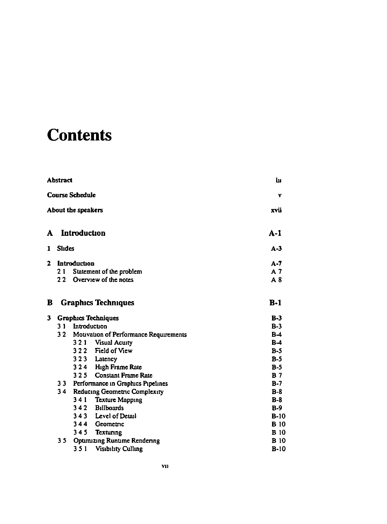# **Contents**

|              |                                                                                                                |              |                                       | iп             |
|--------------|----------------------------------------------------------------------------------------------------------------|--------------|---------------------------------------|----------------|
|              |                                                                                                                |              |                                       | v              |
|              |                                                                                                                |              |                                       | xvii           |
| A            |                                                                                                                | Introduction |                                       | $A-1$          |
| 1            |                                                                                                                |              |                                       | $A - 3$        |
| $\mathbf{z}$ |                                                                                                                | Introduction |                                       | $A - 7$        |
|              | 21                                                                                                             |              | Statement of the problem              | A <sub>7</sub> |
|              | 22                                                                                                             |              | Overview of the notes                 | A8             |
| B            |                                                                                                                |              | <b>Graphics Techniques</b>            | $B-1$          |
| 3            |                                                                                                                |              | <b>Graphics Techniques</b>            | $B-3$          |
|              |                                                                                                                | Introduction |                                       | $B-3$          |
|              |                                                                                                                |              | Mouvation of Performance Requirements | $B-4$          |
|              | <b>Abstract</b><br><b>Course Schedule</b><br>About the speakers<br>Slides<br>31<br>32 <sub>2</sub><br>34<br>35 |              | 3 2 1 Visual Acuity                   | $B-4$          |
|              |                                                                                                                |              | 322 Field of View                     | $B-5$          |
|              |                                                                                                                |              | 323 Latency                           | $B-5$          |
|              |                                                                                                                | 324          | High Frame Rate                       | $B-5$          |
|              |                                                                                                                | 325          | <b>Constant Frame Rate</b>            | B <sub>7</sub> |
|              |                                                                                                                |              | 33 Performance in Graphics Pipelines  | $B-7$          |
|              |                                                                                                                |              | Reducing Geometric Complexity         | $B-8$          |
|              |                                                                                                                | 341          | <b>Texture Mapping</b>                | $B-8$          |
|              |                                                                                                                | 342          | <b>Billboards</b>                     | $B-9$          |
|              |                                                                                                                | 343          | Level of Detail                       | $B-10$         |
|              |                                                                                                                | 344          | Geometric                             | <b>B</b> 10    |
|              |                                                                                                                | 345          | Texturing                             | <b>B</b> 10    |
|              |                                                                                                                |              | <b>Optimizing Runtime Rendering</b>   | <b>B</b> 10    |
|              |                                                                                                                | 351          | <b>Visibility Culling</b>             | $B-10$         |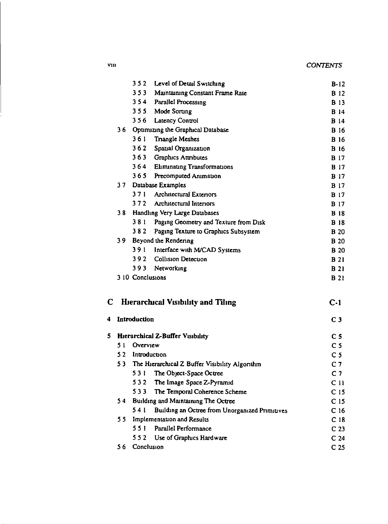| <b>CONTENTS</b> |  |
|-----------------|--|
|-----------------|--|

|   |    | 352              | Level of Detail Switching                      | $B-12$          |
|---|----|------------------|------------------------------------------------|-----------------|
|   |    |                  | 353 Maintaining Constant Frame Rate            | <b>B</b> 12     |
|   |    |                  | 354 Parallel Processing                        | <b>B</b> 13     |
|   |    |                  | 355 Mode Sorung                                | <b>B</b> 14     |
|   |    | 356              | <b>Latency Control</b>                         | <b>B</b> 14     |
|   |    |                  | 36 Optimizing the Graphical Database           | <b>B</b> 16     |
|   |    | 361              | <b>Trangle Meshes</b>                          | <b>B</b> 16     |
|   |    | 362              | Spatial Organization                           | <b>B</b> 16     |
|   |    |                  | 363 Graphics Attributes                        | <b>B</b> 17     |
|   |    |                  | 364 Eliminating Transformations                | <b>B</b> 17     |
|   |    | 365              | Precomputed Animation                          | <b>B</b> 17     |
|   | 37 |                  | Database Examples                              | <b>B</b> 17     |
|   |    | 371              | <b>Architectural Exteriors</b>                 | <b>B</b> 17     |
|   |    | 372              | Architectural Interiors                        | <b>B</b> 17     |
|   | 38 |                  | Handling Very Large Databases                  | <b>B</b> 18     |
|   |    | 381              | Paging Geometry and Texture from Disk          | <b>B</b> 18     |
|   |    | 382              | Paging Texture to Graphics Subsystem           | <b>B</b> 20     |
|   | 39 |                  | Beyond the Rendering                           | <b>B</b> 20     |
|   |    | 391              | Interface with M/CAD Systems                   | <b>B</b> 20     |
|   |    |                  | 392 Collision Detection                        | <b>B</b> 21     |
|   |    |                  | 393 Networking                                 | <b>B</b> 21     |
|   |    | 3 10 Conclusions |                                                | <b>B</b> 21     |
| C |    |                  | <b>Hierarchical Visibility and Tiling</b>      | $C-1$           |
| 4 |    | Introduction     |                                                | C <sub>3</sub>  |
| 5 |    |                  | <b>Hierarchical Z-Buffer Visibility</b>        | C <sub>5</sub>  |
|   | 51 | Overview         |                                                | C <sub>5</sub>  |
|   | 52 |                  | Introduction                                   | C <sub>5</sub>  |
|   | 53 |                  | The Hierarchical Z Buffer Visibility Algorithm | C <sub>7</sub>  |
|   |    |                  | 531 The Object-Space Octree                    | C <sub>7</sub>  |
|   |    | 532              | The Image Space Z-Pyramid                      | C <sub>11</sub> |
|   |    | 533              | The Temporal Coherence Scheme                  | C <sub>15</sub> |
|   | 54 |                  | Building and Maintaining The Octree            | C <sub>15</sub> |
|   |    | 541              | Building an Octree from Unorganized Primitives | C <sub>16</sub> |
|   | 55 |                  | <b>Implementation and Results</b>              | C <sub>18</sub> |
|   |    | 551              | Parallel Performance                           | C <sub>23</sub> |
|   |    | 552              | Use of Graphics Hardware                       | C <sub>24</sub> |
|   | 56 | Conclusion       |                                                | C <sub>25</sub> |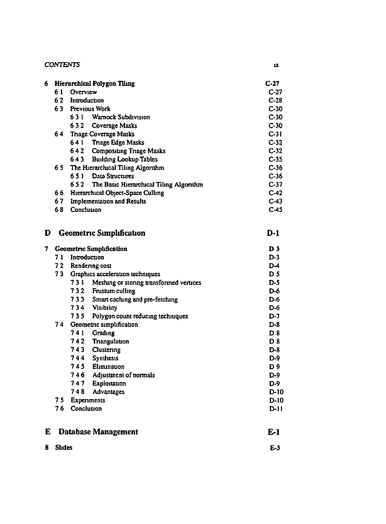| <b>CONTENTS</b> |  |
|-----------------|--|

|     | ٦ |
|-----|---|
| ___ |   |

| 6. |    | <b>Hierarchical Polygon Tiling</b>             | $C-27$          |
|----|----|------------------------------------------------|-----------------|
|    | 61 | Overview                                       | C <sub>27</sub> |
|    | 62 | Introduction                                   | $C-28$          |
|    | 63 | Previous Work                                  | $C-30$          |
|    |    | 631<br><b>Warnock Subdivision</b>              | $C-30$          |
|    |    | 632<br>Coverage Masks                          | $C-30$          |
|    | 64 | <b>Triage Coverage Masks</b>                   | $C-31$          |
|    |    | <b>Triage Edge Masks</b><br>641                | $C-32$          |
|    |    | 642<br><b>Compositing Triage Masks</b>         | $C-32$          |
|    |    | <b>Building Lookup Tables</b><br>643           | $C-35$          |
|    | 65 | The Hierarchical Tiling Algorithm              | $C-36$          |
|    |    | Data Structures<br>651                         | $C-36$          |
|    |    | The Basic Hierarchical Tiling Algorithm<br>652 | $C-37$          |
|    | 66 | Hierarchical Object-Space Culling              | $C-42$          |
|    | 67 | <b>Implementation and Results</b>              | $C-43$          |
|    | 68 | Conclusion                                     | C-45            |

**D** Geometric Simplification  $D-1$ 

| 7 |        |                | <b>Geometric Simplification</b>             | D <sub>3</sub> |
|---|--------|----------------|---------------------------------------------|----------------|
|   | 71     | Introduction   |                                             | $D-3$          |
|   | 72     |                | Rendering cost                              | D4             |
|   |        |                | 73 Graphics acceleration techniques         | D <sub>5</sub> |
|   |        |                | 731 Meshing or storing transformed vertices | $D-5$          |
|   |        |                | 732 Frustum culling                         | $D-6$          |
|   |        |                | 733 Smart caching and pre-fetching          | $D-6$          |
|   |        |                | 734 Visibility                              | $D-6$          |
|   |        |                | 735 Polygon count reducing techniques       | $D-7$          |
|   |        |                | 74 Geometric simplification                 | $D-8$          |
|   |        | 741            | Grading                                     | D <sub>8</sub> |
|   |        |                | 742 Trangulation                            | D <sub>8</sub> |
|   |        |                | 743 Clustering                              | $D-8$          |
|   |        |                | 744 Synthesis                               | $D-9$          |
|   |        |                | 745 Elimination                             | D <sub>9</sub> |
|   |        |                | 746 Adjustment of normals                   | $D-9$          |
|   |        |                | 747 Exploitation                            | $D-9$          |
|   |        | 748            | Advantages                                  | $D-10$         |
|   |        | 75 Experiments | $D-10$                                      |                |
|   | 76     | Conclusion     |                                             | $D-11$         |
| E |        |                | <b>Database Management</b>                  | E-1            |
| 8 | Slides |                |                                             | $F-3$          |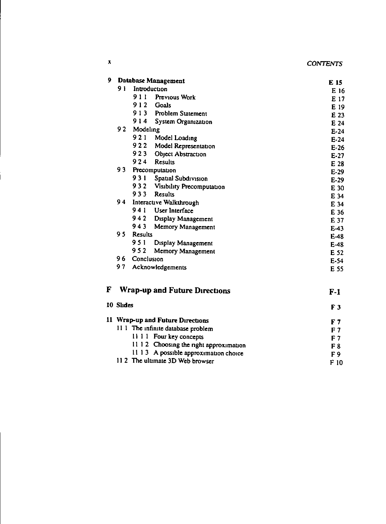| <b>CONTENTS</b> |  |  |  |  |
|-----------------|--|--|--|--|
|-----------------|--|--|--|--|

| 9 |                 |                                 | <b>Database Management</b>           | E 15             |
|---|-----------------|---------------------------------|--------------------------------------|------------------|
|   | 91              |                                 | Introduction                         | E 16             |
|   |                 |                                 | 911 Previous Work                    | E 17             |
|   |                 |                                 | 912 Goals                            | E 19             |
|   |                 |                                 | 913 Problem Statement                | E 23             |
|   |                 | 914                             | System Organization                  | E 24             |
|   | 92 <sub>1</sub> | Modeling                        |                                      | $E-24$           |
|   |                 |                                 | 921 Model Loading                    | $E-24$           |
|   |                 |                                 | 922 Model Representation             | $E-26$           |
|   |                 | 923                             | Object Abstraction                   | $E-27$           |
|   |                 | 924                             | <b>Results</b>                       | E 28             |
|   | 93              |                                 | Precomputation                       | $E-29$           |
|   |                 |                                 | 931 Spatial Subdivision              | $E-29$           |
|   |                 |                                 | 932 Visibility Precomputation        | E 30             |
|   |                 | 933                             | <b>Results</b>                       | E 34             |
|   | 94              |                                 | Interactive Walkthrough              | E 34             |
|   |                 |                                 | 941 User Interface                   | E 36             |
|   |                 |                                 | 942 Display Management               | E 37             |
|   |                 | 943                             | Memory Management                    |                  |
|   | 95              | <b>Results</b>                  |                                      | $E-43$<br>$E-48$ |
|   |                 | 951                             | Display Management                   | $E-48$           |
|   |                 | 952                             |                                      |                  |
|   | 96              | Memory Management<br>Conclusion | E 52                                 |                  |
|   | 97              |                                 | Acknowledgements                     | $E-54$           |
|   |                 |                                 |                                      | E 55             |
| F |                 |                                 | <b>Wrap-up and Future Directions</b> | $F-1$            |
|   | 10 Slides       |                                 |                                      | F <sub>3</sub>   |

| 11 Wrap-up and Future Directions       | F 7  |
|----------------------------------------|------|
| 11.1 The infinite database problem     | F 7  |
| 11 1 1 Four key concepts               | F 7  |
| 11 12 Choosing the right approximation | F 8  |
| 11 13 A possible approximation choice  | F9   |
| 11.2 The ultimate 3D Web browser       | F 10 |

 $\mathbf{x}$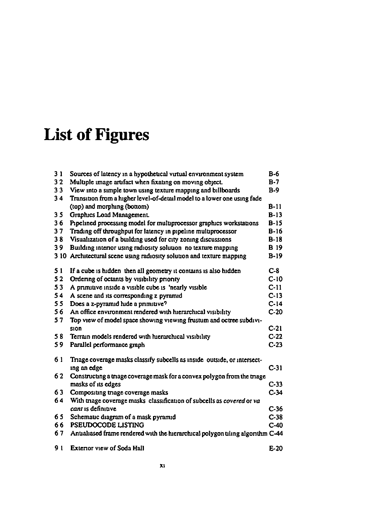# **List of Figures**

| 31             | Sources of latency in a hypothetical virtual environment system                               | B-6              |
|----------------|-----------------------------------------------------------------------------------------------|------------------|
| 32             | Multiple image artifact when fixating on moving object.                                       | $B-7$            |
| 33             | View into a simple town using texture mapping and billboards                                  | $B-9$            |
| 34             | Transition from a higher level-of-detail model to a lower one using fade                      |                  |
|                | (top) and morphing (bottom)                                                                   | $B-11$           |
| 3 <sub>5</sub> | Graphics Load Management.                                                                     | $B-13$           |
| 36             | Pipelined processing model for multiprocessor graphics workstations                           | $B-15$           |
| 37             | Trading off throughput for latency in pipeline multiprocessor                                 | $B-16$           |
| 38             | Visualization of a building used for city zoning discussions                                  | $B-18$           |
| 39             | Building interior using radiosity solution no texture mapping                                 | <b>B</b> 19      |
| 310            | Architectural scene using radiosity solution and texture mapping                              | $B-19$           |
| 51             | If a cube is hidden then all geometry it contains is also hidden                              | $C-8$            |
| 52             | Ordering of octants by visibility priority                                                    | $C-10$           |
| 53             | A primitive inside a visible cube is 'nearly visible                                          | $C-11$           |
| 54             | A scene and its corresponding z pyramid                                                       | $C-13$           |
| 55             | Does a z-pyramid hide a primitive?                                                            | $C-14$           |
| 56             | An office environment rendered with hierarchical visibility                                   | $C-20$           |
| 57             | Top view of model space showing viewing frustum and octree subdivi-                           |                  |
|                | sion                                                                                          | $C-21$           |
| 58             | Terrain models rendered with hierarchical visibility                                          | $C-22$           |
| 59             | Parallel performance graph                                                                    | $C-23$           |
| 61             | Triage coverage masks classify subcells as inside outside, or intersect-                      |                  |
|                | ing an edge                                                                                   | $C-31$           |
| 62             | Constructing a triage coverage mask for a convex polygon from the triage                      |                  |
|                | masks of its edges                                                                            | $C-33$           |
| 63             | Compositing triage coverage masks                                                             | $C-34$           |
| 64             | With triage coverage masks classification of subcells as covered or va<br>cant is definitive. |                  |
|                |                                                                                               | $C-36$           |
| 65<br>66       | Schemauc diagram of a mask pyramid<br><b>PSEUDOCODE LISTING</b>                               | $C-38$<br>$C-40$ |
|                |                                                                                               |                  |
| 67             | Antialiased frame rendered with the hierarchical polygon tiling algorithm C-44                |                  |
| 91             | <b>Exterior view of Soda Hall</b>                                                             | $E-20$           |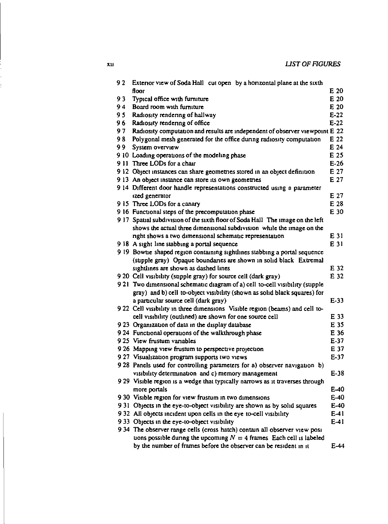| 92             | Exterior view of Soda Hall cut open by a horizontal plane at the sixth         |        |
|----------------|--------------------------------------------------------------------------------|--------|
|                | Аоог                                                                           | E 20   |
| 93             | Typical office with furniture                                                  | E 20   |
| 94             | Board room with furniture                                                      | E 20   |
| 9 <sub>5</sub> | Radiosity rendering of hallway                                                 | $E-22$ |
| 96             | Radiosity rendering of office                                                  | $E-22$ |
| 97             | Radiosity computation and results are independent of observer viewpoint E 22   |        |
| 98             | Polygonal mesh generated for the office during radiosity computation           | E 22   |
| 99             | System overview                                                                | E 24   |
|                | 9.10 Loading operations of the modeling phase                                  | E 25   |
|                | 9 11 Three LODs for a chair                                                    | $E-26$ |
|                | 9.12 Object instances can share geometries stored in an object definition      | E 27   |
|                | 9.13 An object instance can store its own geometries                           | E 27   |
|                | 9.14 Different door handle representations constructed using a parameter       |        |
|                | ized generator                                                                 | E 27   |
|                | 9.15 Three LODs for a canary                                                   | E 28   |
|                | 9 16 Functional steps of the precomputation phase                              | E 30   |
|                | 9 17 Spatial subdivision of the sixth floor of Soda Hall The image on the left |        |
|                | shows the actual three dimensional subdivision while the image on the          |        |
|                | right shows a two dimensional schematic representation                         | E 31   |
|                | 9.18 A sight line stabbing a portal sequence                                   | E 31   |
|                | 9 19 Bowne shaped region containing sightlines stabbing a portal sequence      |        |
|                | (supple gray) Opaque boundaries are shown in solid black Extremal              |        |
|                | sightlines are shown as dashed lines                                           | E 32   |
|                | 9 20 Cell visibility (supple gray) for source cell (dark gray)                 | E 32   |
|                | 9 21 Two dimensional schematic diagram of a) cell to-cell visibility (supple   |        |
|                | gray) and b) cell to-object visibility (shown as solid black squares) for      |        |
|                | a particular source cell (dark gray)                                           | $E-33$ |
|                | 9.22 Cell visibility in three dimensions Visible region (beams) and cell to-   |        |
|                | cell visibility (outlined) are shown for one source cell                       | E 33   |
|                | 9 23 Organization of data in the display database                              | E 35   |
|                | 9 24 Functional operations of the walkthrough phase                            | E 36   |
|                | 9.25 View frustum variables                                                    | $E-37$ |
|                | 9 26 Mapping view frustum to perspective projection                            | E 37   |
|                | 9 27 Visualization program supports two views                                  | $E-37$ |
|                | 9.28 Panels used for controlling parameters for a) observer navigation b)      |        |
|                | visibility determination and c) memory management                              | $E-38$ |
|                | 9 29 Visible region is a wedge that typically narrows as it traverses through  |        |
|                | more portals                                                                   | E-40   |
|                | 9 30 Visible region for view frustum in two dimensions                         | $E=40$ |
|                | 9.31 Objects in the eye-to-object visibility are shown as by solid squares     | $E-40$ |
|                | 9.32 All objects incident upon cells in the eye to-cell visibility             | $E-41$ |
|                | 9 33 Objects in the eye-to-object visibility                                   | $E-41$ |
|                | 9 34 The observer range cells (cross hatch) contain all observer view posi     |        |
|                | uons possible during the upcoming $N = 4$ frames Each cell is labeled          |        |
|                | by the number of frames before the observer can be resident in it              | E-44   |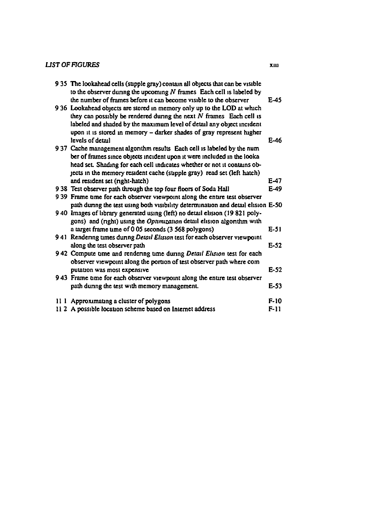#### *UST* OF *FIGURES*

| 9 35 The lookahead cells (supple gray) contain all objects that can be visible<br>to the observer during the upcoming $N$ frames Each cell is labeled by<br>the number of frames before it can become visible to the observer                                                                     | E-45   |
|---------------------------------------------------------------------------------------------------------------------------------------------------------------------------------------------------------------------------------------------------------------------------------------------------|--------|
| 9 36 Lookahead objects are stored in memory only up to the LOD at which<br>they can possibly be rendered during the next $N$ frames Each cell is<br>labeled and shaded by the maximum level of detail any object incident<br>upon it is stored in memory - darker shades of gray represent higher |        |
| levels of detail                                                                                                                                                                                                                                                                                  | E-46   |
| 937 Cache management algorithm results Each cell is labeled by the num                                                                                                                                                                                                                            |        |
| ber of frames since objects incident upon it were included in the looka                                                                                                                                                                                                                           |        |
| head set. Shading for each cell indicates whether or not it contains ob-                                                                                                                                                                                                                          |        |
| jects in the memory resident cache (stipple gray) read set (left hatch)                                                                                                                                                                                                                           |        |
| and resident set (right-hatch)                                                                                                                                                                                                                                                                    | E-47   |
| 938 Test observer path through the top four floors of Soda Hall                                                                                                                                                                                                                                   | $E-49$ |
| 9 39 Frame time for each observer viewpoint along the entire test observer                                                                                                                                                                                                                        |        |
| path during the test using both visibility determination and detail elision E-50                                                                                                                                                                                                                  |        |
| 9 40 Images of library generated using (left) no detail elision (19 821 poly-                                                                                                                                                                                                                     |        |
| gons) and (right) using the Optimization detail elision algorithm with                                                                                                                                                                                                                            |        |
| a target frame time of 0.05 seconds (3.568 polygons)                                                                                                                                                                                                                                              | $E-51$ |
| 941 Rendering times during Detail Elision test for each observer viewpoint                                                                                                                                                                                                                        |        |
| along the test observer path                                                                                                                                                                                                                                                                      | $E-52$ |
| 9 42 Compute time and rendering time during Detail Elision test for each                                                                                                                                                                                                                          |        |
| observer viewpoint along the portion of test observer path where com                                                                                                                                                                                                                              |        |
| putation was most expensive                                                                                                                                                                                                                                                                       | $E-52$ |
| 9 43 Frame time for each observer viewpoint along the entire test observer                                                                                                                                                                                                                        |        |
| path during the test with memory management.                                                                                                                                                                                                                                                      | E-53   |
| 11 1 Approximating a cluster of polygons                                                                                                                                                                                                                                                          | $F-10$ |
| 11.2 A possible location scheme based on Internet address                                                                                                                                                                                                                                         | F-11   |
|                                                                                                                                                                                                                                                                                                   |        |

XIII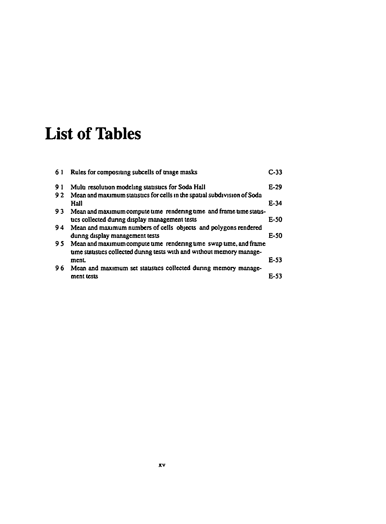# **List of Tables**

| 61  | Rules for compositing subcells of triage masks                                                                                              | C <sub>33</sub> |
|-----|---------------------------------------------------------------------------------------------------------------------------------------------|-----------------|
| 91  | Multi resolution modeling statistics for Soda Hall                                                                                          | $E-29$          |
| 92  | Mean and maximum statistics for cells in the spatial subdivision of Soda<br>Hall                                                            | E-34            |
| 93  | Mean and maximum compute time rendering time and frame time statis-<br>tics collected during display management tests                       | E-50            |
| 94  | Mean and maximum numbers of cells objects and polygons rendered<br>during display management tests                                          | <b>E-SO</b>     |
| 95. | Mean and maximum compute time rendering time swap time, and frame<br>time statistics collected during tests with and without memory manage- |                 |
|     | ment                                                                                                                                        | E-53            |
| 96  | Mean and maximum set statistics collected during memory manage-                                                                             |                 |
|     | ment tests                                                                                                                                  | F 53            |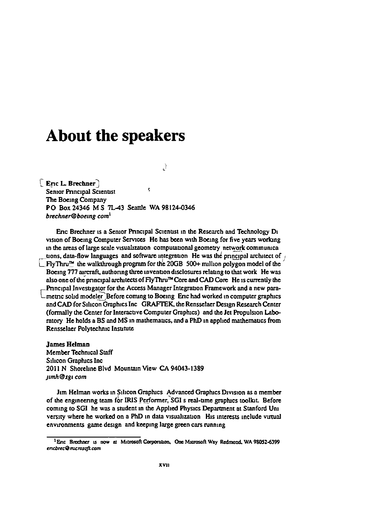### **About the speakers**

 $\mathcal{A}$ 

[ Eric L. Brechner ]  $\hat{\mathbf{c}}$ **Senior Principal Scientist** The Boeing Company PO Box 24346 M S 7L-43 Seattle WA 98124-0346 brechner@boeing.com $^1$ 

Eric Brechner is a Senior Principal Scientist in the Research and Technology Di vision of Boeing Computer Services He has been with Boeing for five years working in the areas of large scale visualization computational geometry network communical tions, data-flow languages and software integration. He was the principal architect of  $\mu$  $FlyThru<sup>na</sup>$  the walkthrough program for the 20GB 500+ million polygon model of the Boeing 777 aircraft, authoring three invention disclosures relating to that work He was also one of the principal architects of FlyThru<sup>na</sup> Core and CAD Core He is currently the Principal Investigator for the Access Manager Integration Framework and a new parametric solid modeler Before coming to Boeing Eric had worked in computer graphics and CAD for Silicon Graphics Inc GRAFTEK, the Rensselaer Design Research Center (formally the Center for Interactive Computer Graphics) and the Jet Propulsion Laboratory He holds a BS and MS in mathematics, and a PhD in applied mathematics from Rensselaer Polytechnic Institute

**James Helman** Member Technical Staff Silicon Graphics Inc. 2011 N Shoreline Blvd Mountain View CA 94043-1389 jimh@sgi com

Jim Helman works in Silicon Graphics Advanced Graphics Division as a member of the engineering team for IRIS Performer, SGI s real-time graphics toolkit. Before coming to SGI he was a student in the Applied Physics Department at Stanford Uni versity where he worked on a PhD in data visualization His interests include virtual environments game design and keeping large green cars running

<sup>&</sup>lt;sup>1</sup> Enc Brechner is now at Microsoft Corporation, One Microsoft Way Redmond, WA 98052-6399 ericbrec@microsoft.com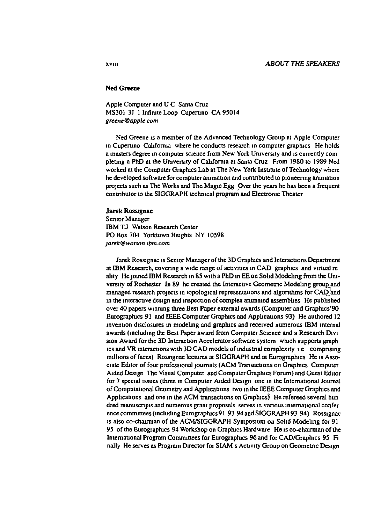#### **Ned Greene**

Apple Computer and U C Santa Cruz MS301 3J 1 Infinite Loop Cuperuno CA 95014 greene@apple.com

Ned Greene is a member of the Advanced Technology Group at Apple Computer in Cupertino California where he conducts research in computer graphics. He holds a masters degree in computer science from New York University and is currently completing a PhD at the University of California at Santa Cruz From 1980 to 1989 Ned worked at the Computer Graphics Lab at The New York Institute of Technology where he developed software for computer animation and contributed to pioneering animation projects such as The Works and The Magic Egg Over the years he has been a frequent contributor to the SIGGRAPH technical program and Electronic Theater

#### **Jarek Rossignac**

Senior Manager IBM TJ Watson Research Center PO Box 704 Yorktown Heights NY 10598 jarek@watson.ibm.com

Jarek Rossignac is Senior Manager of the 3D Graphics and Interactions Department at IBM Research, covering a wide range of activities in CAD graphics and virtual reality He joined IBM Research in 85 with a PhD in EE on Solid Modeling from the University of Rochester In 89 he created the Interactive Geometric Modeling group and managed research projects in topological representations and algorithms for CAD and in the interactive design and inspection of complex animated assemblies. He published over 40 papers winning three Best Paper external awards (Computer and Graphics'90 Eurographics 91 and IEEE Computer Graphics and Applications 93) He authored 12 invention disclosures in modeling and graphics and received numerous IBM internal awards (including the Best Paper award from Computer Science and a Research Divi sion Award for the 3D Interaction Accelerator software system which supports graph ics and VR interactions with 3D CAD models of industrial complexity 1 e comprising millions of faces) Rossignac lectures at SIGGRAPH and at Eurographics He is Associate Editor of four professional journals (ACM Transactions on Graphics Computer Aided Design The Visual Computer and Computer Graphics Forum) and Guest Editor for 7 special issues (three in Computer Aided Design one in the International Journal of Computational Geometry and Applications two in the IEEE Computer Graphics and Applications and one in the ACM transactions on Graphics) He refereed several hun dred manuscripts and numerous grant proposals serves in various international confer ence committees (including Eurographics 91 93 94 and SIGGRAPH 93 94) Rossignac is also co-chairman of the ACM/SIGGRAPH Symposium on Solid Modeling for 91 95 of the Eurographics 94 Workshop on Graphics Hardware He is co-chairman of the International Program Committees for Eurographics 96 and for CAD/Graphics 95 Fi nally He serves as Program Director for SIAM s Activity Group on Geometric Design

XVIII